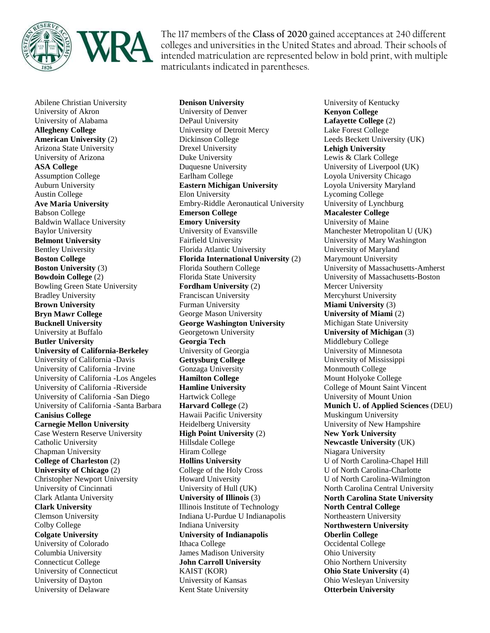

The 117 members of the **Class of 2020** gained acceptances at 240 different colleges and universities in the United States and abroad. Their schools of intended matriculation are represented below in bold print, with multiple matriculants indicated in parentheses.

Abilene Christian University University of Akron University of Alabama **Allegheny College American University** (2) Arizona State University University of Arizona **ASA College** Assumption College Auburn University Austin College **Ave Maria University** Babson College Baldwin Wallace University Baylor University **Belmont University** Bentley University **Boston College Boston University** (3) **Bowdoin College** (2) Bowling Green State University Bradley University **Brown University Bryn Mawr College Bucknell University** University at Buffalo **Butler University University of California-Berkeley** University of California -Davis University of California -Irvine University of California -Los Angeles University of California -Riverside University of California -San Diego University of California -Santa Barbara **Canisius College Carnegie Mellon University** Case Western Reserve University Catholic University Chapman University **College of Charleston** (2) **University of Chicago** (2) Christopher Newport University University of Cincinnati Clark Atlanta University **Clark University** Clemson University Colby College **Colgate University** University of Colorado Columbia University Connecticut College University of Connecticut University of Dayton University of Delaware

**Denison University** University of Denver DePaul University University of Detroit Mercy Dickinson College Drexel University Duke University Duquesne University Earlham College **Eastern Michigan University** Elon University Embry-Riddle Aeronautical University **Emerson College Emory University** University of Evansville Fairfield University Florida Atlantic University **Florida International University** (2) Florida Southern College Florida State University **Fordham University** (2) Franciscan University Furman University George Mason University **George Washington University** Georgetown University **Georgia Tech** University of Georgia **Gettysburg College** Gonzaga University **Hamilton College Hamline University** Hartwick College **Harvard College** (2) Hawaii Pacific University Heidelberg University **High Point University** (2) Hillsdale College Hiram College **Hollins University** College of the Holy Cross Howard University University of Hull (UK) **University of Illinois** (3) Illinois Institute of Technology Indiana U-Purdue U Indianapolis Indiana University **University of Indianapolis** Ithaca College James Madison University **John Carroll University** KAIST (KOR) University of Kansas Kent State University

University of Kentucky **Kenyon College Lafayette College** (2) Lake Forest College Leeds Beckett University (UK) **Lehigh University** Lewis & Clark College University of Liverpool (UK) Loyola University Chicago Loyola University Maryland Lycoming College University of Lynchburg **Macalester College** University of Maine Manchester Metropolitan U (UK) University of Mary Washington University of Maryland Marymount University University of Massachusetts-Amherst University of Massachusetts-Boston Mercer University Mercyhurst University **Miami University** (3) **University of Miami** (2) Michigan State University **University of Michigan** (3) Middlebury College University of Minnesota University of Mississippi Monmouth College Mount Holyoke College College of Mount Saint Vincent University of Mount Union **Munich U. of Applied Sciences** (DEU) Muskingum University University of New Hampshire **New York University Newcastle University** (UK) Niagara University U of North Carolina-Chapel Hill U of North Carolina-Charlotte U of North Carolina-Wilmington North Carolina Central University **North Carolina State University North Central College** Northeastern University **Northwestern University Oberlin College** Occidental College Ohio University Ohio Northern University **Ohio State University** (4) Ohio Wesleyan University **Otterbein University**